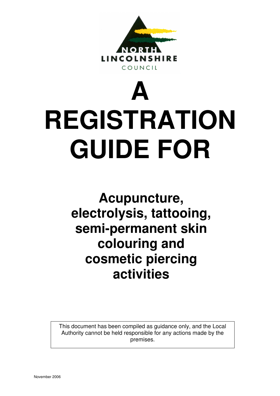

# **A REGISTRATION GUIDE FOR**

# **Acupuncture, electrolysis, tattooing, semi-permanent skin colouring and cosmetic piercing activities**

This document has been compiled as guidance only, and the Local Authority cannot be held responsible for any actions made by the premises.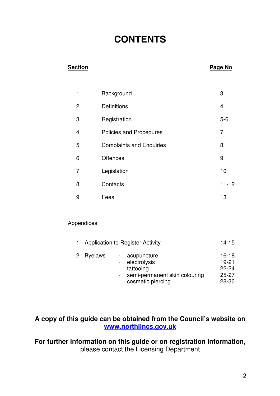## **CONTENTS**

## **Section Page No**

| 1 | Background                      | 3         |
|---|---------------------------------|-----------|
| 2 | <b>Definitions</b>              | 4         |
| 3 | Registration                    | $5-6$     |
| 4 | <b>Policies and Procedures</b>  | 7         |
| 5 | <b>Complaints and Enquiries</b> | 8         |
| 6 | <b>Offences</b>                 | 9         |
| 7 | Legislation                     | 10        |
| 8 | Contacts                        | $11 - 12$ |
| 9 | Fees                            | 13        |

## Appendices

| 1. | <b>Application to Register Activity</b> |                                                                                                    | $14 - 15$                                             |
|----|-----------------------------------------|----------------------------------------------------------------------------------------------------|-------------------------------------------------------|
|    | 2 Byelaws                               | - acupuncture<br>- electrolysis<br>tattooing<br>semi-permanent skin colouring<br>cosmetic piercing | $16 - 18$<br>19-21<br>$22 - 24$<br>$25 - 27$<br>28-30 |

## **A copy of this guide can be obtained from the Council's website on www.northlincs.gov.uk**

**For further information on this guide or on registration information,**  please contact the Licensing Department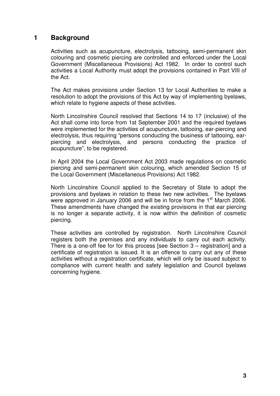## **1 Background**

Activities such as acupuncture, electrolysis, tattooing, semi-permanent skin colouring and cosmetic piercing are controlled and enforced under the Local Government (Miscellaneous Provisions) Act 1982. In order to control such activities a Local Authority must adopt the provisions contained in Part VIII of the Act.

The Act makes provisions under Section 13 for Local Authorities to make a resolution to adopt the provisions of this Act by way of implementing byelaws, which relate to hygiene aspects of these activities.

North Lincolnshire Council resolved that Sections 14 to 17 (inclusive) of the Act shall come into force from 1st September 2001 and the required byelaws were implemented for the activities of acupuncture, tattooing, ear-piercing and electrolysis, thus requiring "persons conducting the business of tattooing, earpiercing and electrolysis, and persons conducting the practice of acupuncture", to be registered.

In April 2004 the Local Government Act 2003 made regulations on cosmetic piercing and semi-permanent skin colouring, which amended Section 15 of the Local Government (Miscellaneous Provisions) Act 1982.

North Lincolnshire Council applied to the Secretary of State to adopt the provisions and byelaws in relation to these two new activities. The byelaws were approved in January 2006 and will be in force from the 1<sup>st</sup> March 2006. These amendments have changed the existing provisions in that ear piercing is no longer a separate activity, it is now within the definition of cosmetic piercing.

These activities are controlled by registration. North Lincolnshire Council registers both the premises and any individuals to carry out each activity. There is a one-off fee for for this process [see Section 3 – registration] and a certificate of registration is issued. It is an offence to carry out any of these activities without a registration certificate, which will only be issued subject to compliance with current health and safety legislation and Council byelaws concerning hygiene.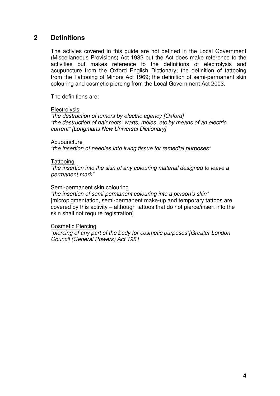## **2 Definitions**

The activies covered in this guide are not defined in the Local Government (Miscellaneous Provisions) Act 1982 but the Act does make reference to the activities but makes reference to the definitions of electrolysis and acupuncture from the Oxford English Dictionary; the definition of tattooing from the Tattooing of Minors Act 1969; the definition of semi-permanent skin colouring and cosmetic piercing from the Local Government Act 2003.

The definitions are:

#### **Electrolysis**

"the destruction of tumors by electric agency"[Oxford] "the destruction of hair roots, warts, moles, etc by means of an electric current" [Longmans New Universal Dictionary]

#### **Acupuncture**

"the insertion of needles into living tissue for remedial purposes"

#### **Tattooing**

"the insertion into the skin of any colouring material designed to leave a permanent mark"

#### Semi-permanent skin colouring

"the insertion of semi-permanent colouring into a person's skin" [micropigmentation, semi-permanent make-up and temporary tattoos are covered by this activity – although tattoos that do not pierce/insert into the skin shall not require registration]

#### Cosmetic Piercing

"piercing of any part of the body for cosmetic purposes"[Greater London Council (General Powers) Act 1981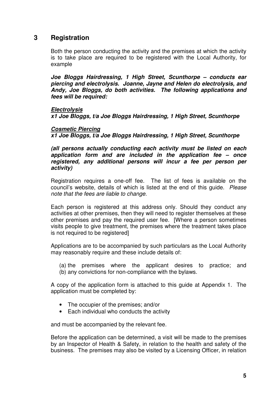## **3 Registration**

Both the person conducting the activity and the premises at which the activity is to take place are required to be registered with the Local Authority, for example

**Joe Bloggs Hairdressing, 1 High Street, Scunthorpe – conducts ear piercing and electrolysis. Joanne, Jayne and Helen do electrolysis, and Andy, Joe Bloggs, do both activities. The following applications and fees will be required:** 

#### **Electrolysis**

**x1 Joe Bloggs, t/a Joe Bloggs Hairdressing, 1 High Street, Scunthorpe** 

#### **Cosmetic Piercing**

**x1 Joe Bloggs, t/a Joe Bloggs Hairdressing, 1 High Street, Scunthorpe** 

**(all persons actually conducting each activity must be listed on each application form and are included in the application fee – once registered, any additional persons will incur a fee per person per activity)** 

Registration requires a one-off fee. The list of fees is available on the council's website, details of which is listed at the end of this guide. Please note that the fees are liable to change.

Each person is registered at this address only. Should they conduct any activities at other premises, then they will need to register themselves at these other premises and pay the required user fee. [Where a person sometimes visits people to give treatment, the premises where the treatment takes place is not required to be registered]

Applications are to be accompanied by such particulars as the Local Authority may reasonably require and these include details of:

(a) the premises where the applicant desires to practice; and (b) any convictions for non-compliance with the bylaws.

A copy of the application form is attached to this guide at Appendix 1. The application must be completed by:

- The occupier of the premises; and/or
- Each individual who conducts the activity

and must be accompanied by the relevant fee.

Before the application can be determined, a visit will be made to the premises by an Inspector of Health & Safety, in relation to the health and safety of the business. The premises may also be visited by a Licensing Officer, in relation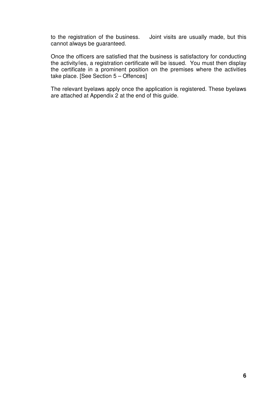to the registration of the business. Joint visits are usually made, but this cannot always be guaranteed.

Once the officers are satisfied that the business is satisfactory for conducting the activity/ies, a registration certificate will be issued. You must then display the certificate in a prominent position on the premises where the activities take place. [See Section 5 – Offences]

The relevant byelaws apply once the application is registered. These byelaws are attached at Appendix 2 at the end of this guide.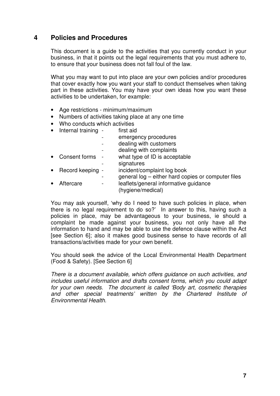## **4 Policies and Procedures**

This document is a guide to the activities that you currently conduct in your business, in that it points out the legal requirements that you must adhere to, to ensure that your business does not fall foul of the law.

What you may want to put into place are your own policies and/or procedures that cover exactly how you want your staff to conduct themselves when taking part in these activities. You may have your own ideas how you want these activities to be undertaken, for example:

- Age restrictions minimum/maximum
- Numbers of activities taking place at any one time
- Who conducts which activities
- Internal training first aid
	- emergency procedures
	- dealing with customers
	- dealing with complaints
- Consent forms what type of ID is acceptable signatures
- Record keeping incident/complaint log book
	- $general log either hard copies or computer files$
- Aftercare **Fig. 1.1.** Heaflets/general informative guidance (hygiene/medical)

You may ask yourself, 'why do I need to have such policies in place, when there is no legal requirement to do so?' In answer to this, having such a policies in place, may be advantageous to your business, ie should a complaint be made against your business, you not only have all the information to hand and may be able to use the defence clause within the Act [see Section 6]; also it makes good business sense to have records of all transactions/activities made for your own benefit.

You should seek the advice of the Local Environmental Health Department (Food & Safety). [See Section 6]

There is a document available, which offers guidance on such activities, and includes useful information and drafts consent forms, which you could adapt for your own needs. The document is called 'Body art, cosmetic therapies and other special treatments' written by the Chartered Institute of Environmental Health.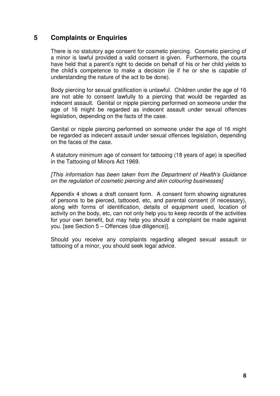## **5 Complaints or Enquiries**

There is no statutory age consent for cosmetic piercing. Cosmetic piercing of a minor is lawful provided a valid consent is given. Furthermore, the courts have held that a parent's right to decide on behalf of his or her child yields to the child's competence to make a decision (ie if he or she is capable of understanding the nature of the act to be done).

Body piercing for sexual gratification is unlawful. Children under the age of 16 are not able to consent lawfully to a piercing that would be regarded as indecent assault. Genital or nipple piercing performed on someone under the age of 16 might be regarded as indecent assault under sexual offences legislation, depending on the facts of the case.

Genital or nipple piercing performed on someone under the age of 16 might be regarded as indecent assault under sexual offences legislation, depending on the faces of the case.

A statutory minimum age of consent for tattooing (18 years of age) is specified in the Tattooing of Minors Act 1969.

[This information has been taken from the Department of Health's Guidance on the regulation of cosmetic piercing and skin colouring businesses]

Appendix 4 shows a draft consent form. A consent form showing signatures of persons to be pierced, tattooed, etc, and parental consent (if necessary), along with forms of identification, details of equipment used, location of activity on the body, etc, can not only help you to keep records of the activities for your own benefit, but may help you should a complaint be made against you. [see Section 5 – Offences (due diligence)].

Should you receive any complaints regarding alleged sexual assault or tattooing of a minor, you should seek legal advice.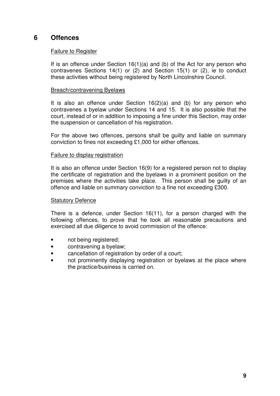## **6 Offences**

### Failure to Register

If is an offence under Section 16(1)(a) and (b) of the Act for any person who contravenes Sections 14(1) or (2) and Section 15(1) or (2), ie to conduct these activities without being registered by North Lincolnshire Council.

#### Breach/contravening Byelaws

It is also an offence under Section 16(2)(a) and (b) for any person who contravenes a byelaw under Sections 14 and 15. It is also possible that the court, instead of or in addition to imposing a fine under this Section, may order the suspension or cancellation of his registration.

For the above two offences, persons shall be guilty and liable on summary conviction to fines not exceeding £1,000 for either offences.

#### Failure to display registration

It is also an offence under Section 16(9) for a registered person not to display the certificate of registration and the byelaws in a prominent position on the premises where the activities take place. This person shall be guilty of an offence and liable on summary conviction to a fine not exceeding £300.

#### **Statutory Defence**

There is a defence, under Section 16(11), for a person charged with the following offences, to prove that he took all reasonable precautions and exercised all due diligence to avoid commission of the offence:

- not being registered;
- contravening a byelaw;
- cancellation of registration by order of a court;
- not prominently displaying registration or byelaws at the place where the practice/business is carried on.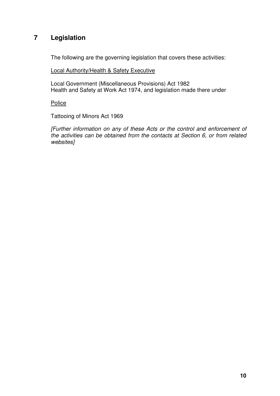## **7 Legislation**

The following are the governing legislation that covers these activities:

### Local Authority/Health & Safety Executive

Local Government (Miscellaneous Provisions) Act 1982 Health and Safety at Work Act 1974, and legislation made there under

## Police

Tattooing of Minors Act 1969

[Further information on any of these Acts or the control and enforcement of the activities can be obtained from the contacts at Section 6, or from related websites]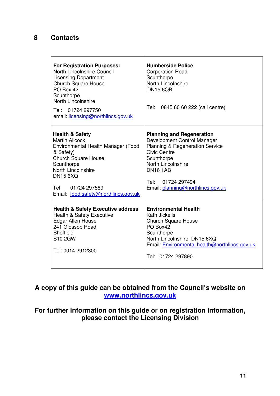## **8 Contacts**

| <b>For Registration Purposes:</b><br><b>North Lincolnshire Council</b><br>Licensing Department<br><b>Church Square House</b><br>PO Box 42<br>Scunthorpe<br>North Lincolnshire<br>Tel: 01724 297750<br>email: licensing@northlincs.gov.uk                    | <b>Humberside Police</b><br><b>Corporation Road</b><br>Scunthorpe<br>North Lincolnshire<br><b>DN15 6QB</b><br>Tel:<br>0845 60 60 222 (call centre)                                                                                                       |
|-------------------------------------------------------------------------------------------------------------------------------------------------------------------------------------------------------------------------------------------------------------|----------------------------------------------------------------------------------------------------------------------------------------------------------------------------------------------------------------------------------------------------------|
| <b>Health &amp; Safety</b><br><b>Martin Allcock</b><br>Environmental Health Manager (Food<br>& Safety)<br><b>Church Square House</b><br>Scunthorpe<br>North Lincolnshire<br><b>DN15 6XQ</b><br>Tel:<br>01724 297589<br>Email: food.safety@northlincs.gov.uk | <b>Planning and Regeneration</b><br>Development Control Manager<br><b>Planning &amp; Regeneration Service</b><br><b>Civic Centre</b><br>Scunthorpe<br>North Lincolnshire<br><b>DN16 1AB</b><br>Tel:<br>01724 297494<br>Email: planning@northlincs.gov.uk |
| <b>Health &amp; Safety Executive address</b><br><b>Health &amp; Safety Executive</b><br><b>Edgar Allen House</b><br>241 Glossop Road<br>Sheffield<br>S10 2GW<br>Tel: 0014 2912300                                                                           | <b>Environmental Health</b><br>Kath Jickells<br><b>Church Square House</b><br>PO Box42<br>Scunthorpe<br>North Lincolnshire DN15 6XQ<br>Email: Environmental.health@northlincs.gov.uk<br>Tel: 01724 297890                                                |

## **A copy of this guide can be obtained from the Council's website on www.northlincs.gov.uk**

## **For further information on this guide or on registration information, please contact the Licensing Division**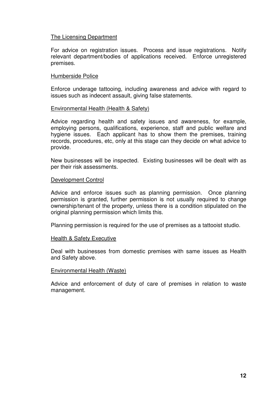#### The Licensing Department

For advice on registration issues. Process and issue registrations. Notify relevant department/bodies of applications received. Enforce unregistered premises.

#### Humberside Police

Enforce underage tattooing, including awareness and advice with regard to issues such as indecent assault, giving false statements.

#### Environmental Health (Health & Safety)

Advice regarding health and safety issues and awareness, for example, employing persons, qualifications, experience, staff and public welfare and hygiene issues. Each applicant has to show them the premises, training records, procedures, etc, only at this stage can they decide on what advice to provide.

New businesses will be inspected. Existing businesses will be dealt with as per their risk assessments.

#### Development Control

Advice and enforce issues such as planning permission. Once planning permission is granted, further permission is not usually required to change ownership/tenant of the property, unless there is a condition stipulated on the original planning permission which limits this.

Planning permission is required for the use of premises as a tattooist studio.

#### Health & Safety Executive

Deal with businesses from domestic premises with same issues as Health and Safety above.

#### Environmental Health (Waste)

Advice and enforcement of duty of care of premises in relation to waste management.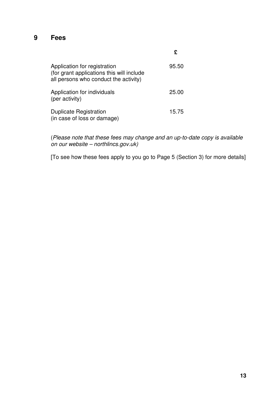## **9 Fees**

## **£**

| Application for registration<br>(for grant applications this will include<br>all persons who conduct the activity) | 95.50 |
|--------------------------------------------------------------------------------------------------------------------|-------|
| Application for individuals<br>(per activity)                                                                      | 25.00 |
| <b>Duplicate Registration</b><br>(in case of loss or damage)                                                       | 15.75 |

 (Please note that these fees may change and an up-to-date copy is available on our website – northlincs.gov.uk)

[To see how these fees apply to you go to Page 5 (Section 3) for more details]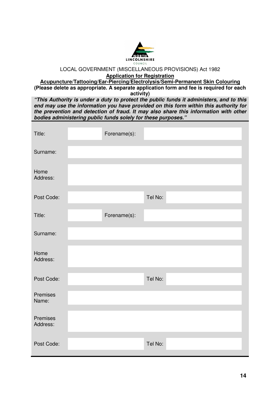

## LOCAL GOVERNMENT (MISCELLANEOUS PROVISIONS) Act 1982

**Application for Registration**

## **Acupuncture/Tattooing/Ear-Piercing/Electrolysis/Semi-Permanent Skin Colouring**

**(Please delete as appropriate. A separate application form and fee is required for each activity)** 

**"This Authority is under a duty to protect the public funds it administers, and to this end may use the information you have provided on this form within this authority for the prevention and detection of fraud. It may also share this information with other bodies administering public funds solely for these purposes."**

| Title:               | Forename(s): |         |  |
|----------------------|--------------|---------|--|
| Surname:             |              |         |  |
| Home<br>Address:     |              |         |  |
| Post Code:           |              | Tel No: |  |
| Title:               | Forename(s): |         |  |
| Surname:             |              |         |  |
| Home<br>Address:     |              |         |  |
| Post Code:           |              | Tel No: |  |
| Premises<br>Name:    |              |         |  |
| Premises<br>Address: |              |         |  |
| Post Code:           |              | Tel No: |  |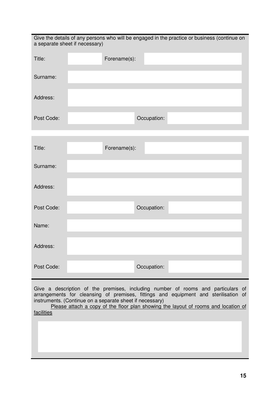|                                                                                                                                                                                                                                                                                                                                         | a separate sheet if necessary) |              |             | Give the details of any persons who will be engaged in the practice or business (continue on |  |
|-----------------------------------------------------------------------------------------------------------------------------------------------------------------------------------------------------------------------------------------------------------------------------------------------------------------------------------------|--------------------------------|--------------|-------------|----------------------------------------------------------------------------------------------|--|
| Title:                                                                                                                                                                                                                                                                                                                                  |                                | Forename(s): |             |                                                                                              |  |
| Surname:                                                                                                                                                                                                                                                                                                                                |                                |              |             |                                                                                              |  |
| Address:                                                                                                                                                                                                                                                                                                                                |                                |              |             |                                                                                              |  |
| Post Code:                                                                                                                                                                                                                                                                                                                              |                                |              | Occupation: |                                                                                              |  |
|                                                                                                                                                                                                                                                                                                                                         |                                |              |             |                                                                                              |  |
| Title:                                                                                                                                                                                                                                                                                                                                  |                                | Forename(s): |             |                                                                                              |  |
| Surname:                                                                                                                                                                                                                                                                                                                                |                                |              |             |                                                                                              |  |
| Address:                                                                                                                                                                                                                                                                                                                                |                                |              |             |                                                                                              |  |
| Post Code:                                                                                                                                                                                                                                                                                                                              |                                |              | Occupation: |                                                                                              |  |
| Name:                                                                                                                                                                                                                                                                                                                                   |                                |              |             |                                                                                              |  |
| Address:                                                                                                                                                                                                                                                                                                                                |                                |              |             |                                                                                              |  |
| Post Code:                                                                                                                                                                                                                                                                                                                              |                                |              | Occupation: |                                                                                              |  |
| Give a description of the premises, including number of rooms and particulars of<br>arrangements for cleansing of premises, fittings and equipment and sterilisation of<br>instruments. (Continue on a separate sheet if necessary)<br>Please attach a copy of the floor plan showing the layout of rooms and location of<br>facilities |                                |              |             |                                                                                              |  |
|                                                                                                                                                                                                                                                                                                                                         |                                |              |             |                                                                                              |  |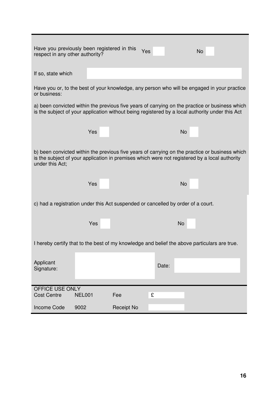| Have you previously been registered in this<br>Yes<br><b>No</b><br>respect in any other authority?                                                                                                                 |  |  |  |
|--------------------------------------------------------------------------------------------------------------------------------------------------------------------------------------------------------------------|--|--|--|
| If so, state which                                                                                                                                                                                                 |  |  |  |
| Have you or, to the best of your knowledge, any person who will be engaged in your practice<br>or business:                                                                                                        |  |  |  |
| a) been convicted within the previous five years of carrying on the practice or business which<br>is the subject of your application without being registered by a local authority under this Act                  |  |  |  |
| Yes<br><b>No</b>                                                                                                                                                                                                   |  |  |  |
| b) been convicted within the previous five years of carrying on the practice or business which<br>is the subject of your application in premises which were not registered by a local authority<br>under this Act; |  |  |  |
| Yes<br><b>No</b>                                                                                                                                                                                                   |  |  |  |
| c) had a registration under this Act suspended or cancelled by order of a court.                                                                                                                                   |  |  |  |
| Yes<br>No                                                                                                                                                                                                          |  |  |  |
| I hereby certify that to the best of my knowledge and belief the above particulars are true.                                                                                                                       |  |  |  |
| Applicant<br>Date:<br>Signature:                                                                                                                                                                                   |  |  |  |
| OFFICE USE ONLY<br><b>Cost Centre</b><br><b>NEL001</b><br>Fee<br>£                                                                                                                                                 |  |  |  |
| Income Code<br>9002<br><b>Receipt No</b>                                                                                                                                                                           |  |  |  |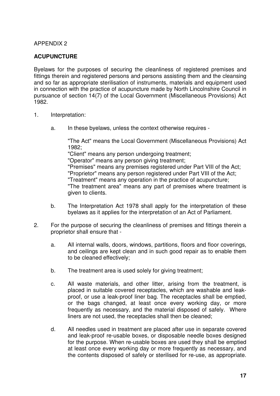## APPENDIX 2

## **ACUPUNCTURE**

Byelaws for the purposes of securing the cleanliness of registered premises and fittings therein and registered persons and persons assisting them and the cleansing and so far as appropriate sterilisation of instruments, materials and equipment used in connection with the practice of acupuncture made by North Lincolnshire Council in pursuance of section 14(7) of the Local Government (Miscellaneous Provisions) Act 1982.

- 1. Interpretation:
	- a. In these byelaws, unless the context otherwise requires -

"The Act" means the Local Government (Miscellaneous Provisions) Act 1982;

"Client" means any person undergoing treatment;

"Operator" means any person giving treatment;

 "Premises" means any premises registered under Part VIII of the Act; "Proprietor" means any person registered under Part VIII of the Act; "Treatment" means any operation in the practice of acupuncture; "The treatment area" means any part of premises where treatment is given to clients.

- b. The Interpretation Act 1978 shall apply for the interpretation of these byelaws as it applies for the interpretation of an Act of Parliament.
- 2. For the purpose of securing the cleanliness of premises and fittings therein a proprietor shall ensure that
	- a. All internal walls, doors, windows, partitions, floors and floor coverings, and ceilings are kept clean and in such good repair as to enable them to be cleaned effectively;
	- b. The treatment area is used solely for giving treatment;
	- c. All waste materials, and other litter, arising from the treatment, is placed in suitable covered receptacles, which are washable and leakproof, or use a leak-proof liner bag. The receptacles shall be emptied, or the bags changed, at least once every working day, or more frequently as necessary, and the material disposed of safely. Where liners are not used, the receptacles shall then be cleaned;
	- d. All needles used in treatment are placed after use in separate covered and leak-proof re-usable boxes, or disposable needle boxes designed for the purpose. When re-usable boxes are used they shall be emptied at least once every working day or more frequently as necessary, and the contents disposed of safely or sterilised for re-use, as appropriate.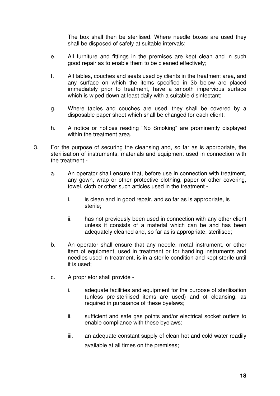The box shall then be sterilised. Where needle boxes are used they shall be disposed of safely at suitable intervals;

- e. All furniture and fittings in the premises are kept clean and in such good repair as to enable them to be cleaned effectively;
- f. All tables, couches and seats used by clients in the treatment area, and any surface on which the items specified in 3b below are placed immediately prior to treatment, have a smooth impervious surface which is wiped down at least daily with a suitable disinfectant:
- g. Where tables and couches are used, they shall be covered by a disposable paper sheet which shall be changed for each client;
- h. A notice or notices reading "No Smoking" are prominently displayed within the treatment area.
- 3. For the purpose of securing the cleansing and, so far as is appropriate, the sterilisation of instruments, materials and equipment used in connection with the treatment
	- a. An operator shall ensure that, before use in connection with treatment, any gown, wrap or other protective clothing, paper or other covering, towel, cloth or other such articles used in the treatment
		- i. is clean and in good repair, and so far as is appropriate, is sterile;
		- ii. has not previously been used in connection with any other client unless it consists of a material which can be and has been adequately cleaned and, so far as is appropriate, sterilised;
	- b. An operator shall ensure that any needle, metal instrument, or other item of equipment, used in treatment or for handling instruments and needles used in treatment, is in a sterile condition and kept sterile until it is used;
	- c. A proprietor shall provide
		- i. adequate facilities and equipment for the purpose of sterilisation (unless pre-sterilised items are used) and of cleansing, as required in pursuance of these byelaws;
		- ii. sufficient and safe gas points and/or electrical socket outlets to enable compliance with these byelaws;
		- iii. an adequate constant supply of clean hot and cold water readily available at all times on the premises;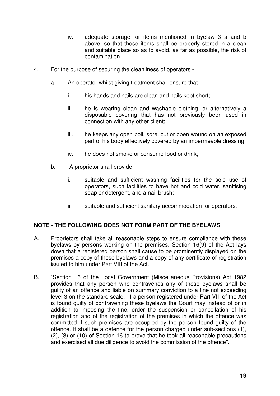- iv. adequate storage for items mentioned in byelaw 3 a and b above, so that those items shall be properly stored in a clean and suitable place so as to avoid, as far as possible, the risk of contamination.
- 4. For the purpose of securing the cleanliness of operators
	- a. An operator whilst giving treatment shall ensure that
		- i. his hands and nails are clean and nails kept short:
		- ii. he is wearing clean and washable clothing, or alternatively a disposable covering that has not previously been used in connection with any other client;
		- iii. he keeps any open boil, sore, cut or open wound on an exposed part of his body effectively covered by an impermeable dressing;
		- iv. he does not smoke or consume food or drink;
	- b. A proprietor shall provide;
		- i. suitable and sufficient washing facilities for the sole use of operators, such facilities to have hot and cold water, sanitising soap or detergent, and a nail brush;
		- ii. suitable and sufficient sanitary accommodation for operators.

## **NOTE - THE FOLLOWING DOES NOT FORM PART OF THE BYELAWS**

- A. Proprietors shall take all reasonable steps to ensure compliance with these byelaws by persons working on the premises. Section 16(9) of the Act lays down that a registered person shall cause to be prominently displayed on the premises a copy of these byelaws and a copy of any certificate of registration issued to him under Part VIII of the Act.
- B. "Section 16 of the Local Government (Miscellaneous Provisions) Act 1982 provides that any person who contravenes any of these byelaws shall be guilty of an offence and liable on summary conviction to a fine not exceeding level 3 on the standard scale. If a person registered under Part VIII of the Act is found guilty of contravening these byelaws the Court may instead of or in addition to imposing the fine, order the suspension or cancellation of his registration and of the registration of the premises in which the offence was committed if such premises are occupied by the person found guilty of the offence. It shall be a defence for the person charged under sub-sections (1), (2), (8) or (10) of Section 16 to prove that he took all reasonable precautions and exercised all due diligence to avoid the commission of the offence".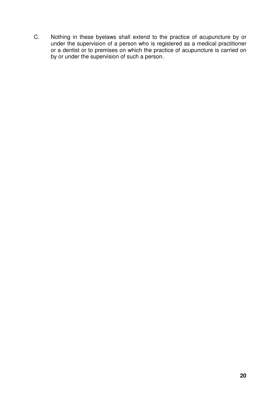C. Nothing in these byelaws shall extend to the practice of acupuncture by or under the supervision of a person who is registered as a medical practitioner or a dentist or to premises on which the practice of acupuncture is carried on by or under the supervision of such a person.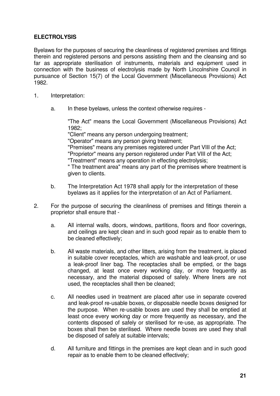## **ELECTROLYSIS**

Byelaws for the purposes of securing the cleanliness of registered premises and fittings therein and registered persons and persons assisting them and the cleansing and so far as appropriate sterilisation of instruments, materials and equipment used in connection with the business of electrolysis made by North Lincolnshire Council in pursuance of Section 15(7) of the Local Government (Miscellaneous Provisions) Act 1982.

- 1. Interpretation:
	- a. In these byelaws, unless the context otherwise requires -

 "The Act" means the Local Government (Miscellaneous Provisions) Act 1982;

"Client" means any person undergoing treatment;

"Operator" means any person giving treatment;

 "Premises" means any premises registered under Part VIII of the Act; "Proprietor" means any person registered under Part VIII of the Act;

"Treatment" means any operation in effecting electrolysis;

 " The treatment area" means any part of the premises where treatment is given to clients.

- b. The Interpretation Act 1978 shall apply for the interpretation of these byelaws as it applies for the interpretation of an Act of Parliament.
- 2. For the purpose of securing the cleanliness of premises and fittings therein a proprietor shall ensure that
	- a. All internal walls, doors, windows, partitions, floors and floor coverings, and ceilings are kept clean and in such good repair as to enable them to be cleaned effectively;
	- b. All waste materials, and other litters, arising from the treatment, is placed in suitable cover receptacles, which are washable and leak-proof, or use a leak-proof liner bag. The receptacles shall be emptied, or the bags changed, at least once every working day, or more frequently as necessary, and the material disposed of safely. Where liners are not used, the receptacles shall then be cleaned;
	- c. All needles used in treatment are placed after use in separate covered and leak-proof re-usable boxes, or disposable needle boxes designed for the purpose. When re-usable boxes are used they shall be emptied at least once every working day or more frequently as necessary, and the contents disposed of safely or sterilised for re-use, as appropriate. The boxes shall then be sterilised. Where needle boxes are used they shall be disposed of safely at suitable intervals;
	- d. All furniture and fittings in the premises are kept clean and in such good repair as to enable them to be cleaned effectively;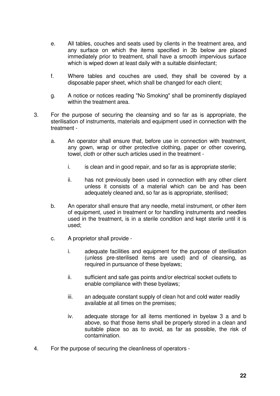- e. All tables, couches and seats used by clients in the treatment area, and any surface on which the items specified in 3b below are placed immediately prior to treatment, shall have a smooth impervious surface which is wiped down at least daily with a suitable disinfectant;
- f. Where tables and couches are used, they shall be covered by a disposable paper sheet, which shall be changed for each client;
- g. A notice or notices reading "No Smoking" shall be prominently displayed within the treatment area.
- 3. For the purpose of securing the cleansing and so far as is appropriate, the sterilisation of instruments, materials and equipment used in connection with the treatment
	- a. An operator shall ensure that, before use in connection with treatment, any gown, wrap or other protective clothing, paper or other covering, towel, cloth or other such articles used in the treatment
		- i. is clean and in good repair, and so far as is appropriate sterile;
		- ii. has not previously been used in connection with any other client unless it consists of a material which can be and has been adequately cleaned and, so far as is appropriate, sterilised;
	- b. An operator shall ensure that any needle, metal instrument, or other item of equipment, used in treatment or for handling instruments and needles used in the treatment, is in a sterile condition and kept sterile until it is used;
	- c. A proprietor shall provide
		- i. adequate facilities and equipment for the purpose of sterilisation (unless pre-sterilised items are used) and of cleansing, as required in pursuance of these byelaws;
		- ii. sufficient and safe gas points and/or electrical socket outlets to enable compliance with these byelaws;
		- iii. an adequate constant supply of clean hot and cold water readily available at all times on the premises;
		- iv. adequate storage for all items mentioned in byelaw 3 a and b above, so that those items shall be properly stored in a clean and suitable place so as to avoid, as far as possible, the risk of contamination.
- 4. For the purpose of securing the cleanliness of operators -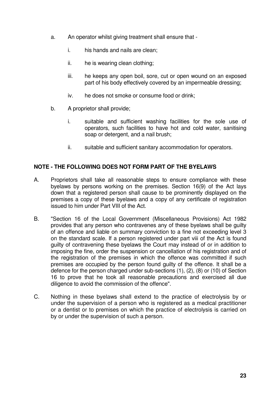- a. An operator whilst giving treatment shall ensure that
	- i. his hands and nails are clean;
	- ii. he is wearing clean clothing;
	- iii. he keeps any open boil, sore, cut or open wound on an exposed part of his body effectively covered by an impermeable dressing;
	- iv. he does not smoke or consume food or drink;
- b. A proprietor shall provide;
	- i. suitable and sufficient washing facilities for the sole use of operators, such facilities to have hot and cold water, sanitising soap or detergent, and a nail brush;
	- ii. suitable and sufficient sanitary accommodation for operators.

## **NOTE - THE FOLLOWING DOES NOT FORM PART OF THE BYELAWS**

- A. Proprietors shall take all reasonable steps to ensure compliance with these byelaws by persons working on the premises. Section 16(9) of the Act lays down that a registered person shall cause to be prominently displayed on the premises a copy of these byelaws and a copy of any certificate of registration issued to him under Part VIII of the Act.
- B. "Section 16 of the Local Government (Miscellaneous Provisions) Act 1982 provides that any person who contravenes any of these byelaws shall be guilty of an offence and liable on summary conviction to a fine not exceeding level 3 on the standard scale. If a person registered under part viii of the Act is found guilty of contravening these byelaws the Court may instead of or in addition to imposing the fine, order the suspension or cancellation of his registration and of the registration of the premises in which the offence was committed if such premises are occupied by the person found guilty of the offence. It shall be a defence for the person charged under sub-sections (1), (2), (8) or (10) of Section 16 to prove that he took all reasonable precautions and exercised all due diligence to avoid the commission of the offence".
- C. Nothing in these byelaws shall extend to the practice of electrolysis by or under the supervision of a person who is registered as a medical practitioner or a dentist or to premises on which the practice of electrolysis is carried on by or under the supervision of such a person.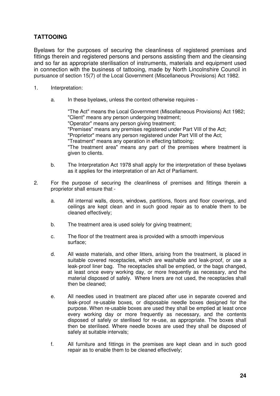## **TATTOOING**

Byelaws for the purposes of securing the cleanliness of registered premises and fittings therein and registered persons and persons assisting them and the cleansing and so far as appropriate sterilisation of instruments, materials and equipment used in connection with the business of tattooing, made by North Lincolnshire Council in pursuance of section 15(7) of the Local Government (Miscellaneous Provisions) Act 1982.

- 1. Interpretation:
	- a. In these byelaws, unless the context otherwise requires -

"The Act" means the Local Government (Miscellaneous Provisions) Act 1982; "Client" means any person undergoing treatment; "Operator" means any person giving treatment; "Premises" means any premises registered under Part VIII of the Act; "Proprietor" means any person registered under Part VIII of the Act; "Treatment" means any operation in effecting tattooing; "The treatment area" means any part of the premises where treatment is given to clients.

- b. The Interpretation Act 1978 shall apply for the interpretation of these byelaws as it applies for the interpretation of an Act of Parliament.
- 2. For the purpose of securing the cleanliness of premises and fittings therein a proprietor shall ensure that
	- a. All internal walls, doors, windows, partitions, floors and floor coverings, and ceilings are kept clean and in such good repair as to enable them to be cleaned effectively;
	- b. The treatment area is used solely for giving treatment;
	- c. The floor of the treatment area is provided with a smooth impervious surface;
	- d. All waste materials, and other litters, arising from the treatment, is placed in suitable covered receptacles, which are washable and leak-proof, or use a leak-proof liner bag. The receptacles shall be emptied, or the bags changed, at least once every working day, or more frequently as necessary, and the material disposed of safely. Where liners are not used, the receptacles shall then be cleaned;
	- e. All needles used in treatment are placed after use in separate covered and leak-proof re-usable boxes, or disposable needle boxes designed for the purpose. When re-usable boxes are used they shall be emptied at least once every working day or more frequently as necessary, and the contents disposed of safely or sterilised for re-use, as appropriate. The boxes shall then be sterilised. Where needle boxes are used they shall be disposed of safely at suitable intervals;
	- f. All furniture and fittings in the premises are kept clean and in such good repair as to enable them to be cleaned effectively;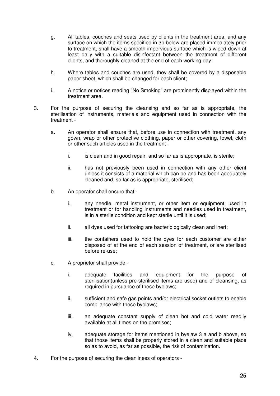- g. All tables, couches and seats used by clients in the treatment area, and any surface on which the items specified in 3b below are placed immediately prior to treatment, shall have a smooth impervious surface which is wiped down at least daily with a suitable disinfectant between the treatment of different clients, and thoroughly cleaned at the end of each working day;
- h. Where tables and couches are used, they shall be covered by a disposable paper sheet, which shall be changed for each client;
- i. A notice or notices reading "No Smoking" are prominently displayed within the treatment area.
- 3. For the purpose of securing the cleansing and so far as is appropriate, the sterilisation of instruments, materials and equipment used in connection with the treatment
	- a. An operator shall ensure that, before use in connection with treatment, any gown, wrap or other protective clothing, paper or other covering, towel, cloth or other such articles used in the treatment
		- i. is clean and in good repair, and so far as is appropriate, is sterile;
		- ii. has not previously been used in connection with any other client unless it consists of a material which can be and has been adequately cleaned and, so far as is appropriate, sterilised;
	- b. An operator shall ensure that
		- i. any needle, metal instrument, or other item or equipment, used in treatment or for handling instruments and needles used in treatment, is in a sterile condition and kept sterile until it is used;
		- ii. all dyes used for tattooing are bacteriologically clean and inert;
		- iii. the containers used to hold the dyes for each customer are either disposed of at the end of each session of treatment, or are sterilised before re-use;
	- c. A proprietor shall provide
		- i. adequate facilities and equipment for the purpose of sterilisation(unless pre-sterilised items are used) and of cleansing, as required in pursuance of these byelaws;
		- ii. sufficient and safe gas points and/or electrical socket outlets to enable compliance with these byelaws;
		- iii. an adequate constant supply of clean hot and cold water readily available at all times on the premises;
		- iv. adequate storage for items mentioned in byelaw 3 a and b above, so that those items shall be properly stored in a clean and suitable place so as to avoid, as far as possible, the risk of contamination.
- 4. For the purpose of securing the cleanliness of operators -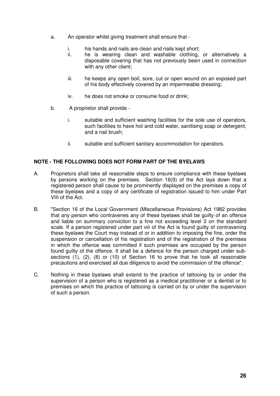- a. An operator whilst giving treatment shall ensure that
	- i. his hands and nails are clean and nails kept short;
	- ii. he is wearing clean and washable clothing, or alternatively a disposable covering that has not previously been used in connection with any other client;
	- iii. he keeps any open boil, sore, cut or open wound on an exposed part of his body effectively covered by an impermeable dressing;
	- iv. he does not smoke or consume food or drink;
- b. A proprietor shall provide
	- i. suitable and sufficient washing facilities for the sole use of operators, such facilities to have hot and cold water, sanitising soap or detergent, and a nail brush;
	- ii. suitable and sufficient sanitary accommodation for operators.

#### **NOTE - THE FOLLOWING DOES NOT FORM PART OF THE BYELAWS**

- A. Proprietors shall take all reasonable steps to ensure compliance with these byelaws by persons working on the premises. Section 16(9) of the Act lays down that a registered person shall cause to be prominently displayed on the premises a copy of these byelaws and a copy of any certificate of registration issued to him under Part VIII of the Act.
- B. "Section 16 of the Local Government (Miscellaneous Provisions) Act 1982 provides that any person who contravenes any of these byelaws shall be guilty of an offence and liable on summary conviction to a fine not exceeding level 3 on the standard scale. If a person registered under part viii of the Act is found guilty of contravening these byelaws the Court may instead of or in addition to imposing the fine, order the suspension or cancellation of his registration and of the registration of the premises in which the offence was committed if such premises are occupied by the person found guilty of the offence. It shall be a defence for the person charged under subsections (1), (2), (8) or (10) of Section 16 to prove that he took all reasonable precautions and exercised all due diligence to avoid the commission of the offence".
- C. Nothing in these byelaws shall extend to the practice of tattooing by or under the supervision of a person who is registered as a medical practitioner or a dentist or to premises on which the practice of tattooing is carried on by or under the supervision of such a person.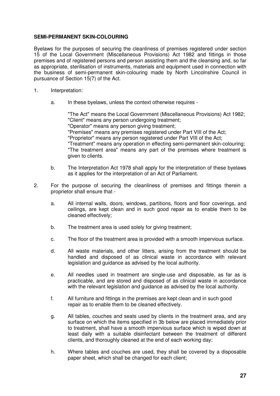#### **SEMI-PERMANENT SKIN-COLOURING**

Byelaws for the purposes of securing the cleanliness of premises registered under section 15 of the Local Government (Miscellaneous Provisions) Act 1982 and fittings in those premises and of registered persons and person assisting them and the cleansing and, so far as appropriate, sterilisation of instruments, materials and equipment used in connection with the business of semi-permanent skin-colouring made by North Lincolnshire Council in pursuance of Section 15(7) of the Act.

- 1. Interpretation:
	- a. In these byelaws, unless the context otherwise requires -

"The Act" means the Local Government (Miscellaneous Provisions) Act 1982; "Client" means any person undergoing treatment; "Operator" means any person giving treatment; "Premises" means any premises registered under Part VIII of the Act; "Proprietor" means any person registered under Part VIII of the Act; "Treatment" means any operation in effecting semi-permanent skin-colouring; "The treatment area" means any part of the premises where treatment is given to clients.

- b. The Interpretation Act 1978 shall apply for the interpretation of these byelaws as it applies for the interpretation of an Act of Parliament.
- 2. For the purpose of securing the cleanliness of premises and fittings therein a proprietor shall ensure that
	- a. All internal walls, doors, windows, partitions, floors and floor coverings, and ceilings, are kept clean and in such good repair as to enable them to be cleaned effectively;
	- b. The treatment area is used solely for giving treatment;
	- c. The floor of the treatment area is provided with a smooth impervious surface.
	- d. All waste materials, and other litters, arising from the treatment should be handled and disposed of as clinical waste in accordance with relevant legislation and guidance as advised by the local authority.
	- e. All needles used in treatment are single-use and disposable, as far as is practicable, and are stored and disposed of as clinical waste in accordance with the relevant legislation and guidance as advised by the local authority.
	- f. All furniture and fittings in the premises are kept clean and in such good repair as to enable them to be cleaned effectively.
	- g. All tables, couches and seats used by clients in the treatment area, and any surface on which the items specified in 3b below are placed immediately prior to treatment, shall have a smooth impervious surface which is wiped down at least daily with a suitable disinfectant between the treatment of different clients, and thoroughly cleaned at the end of each working day;
	- h. Where tables and couches are used, they shall be covered by a disposable paper sheet, which shall be changed for each client;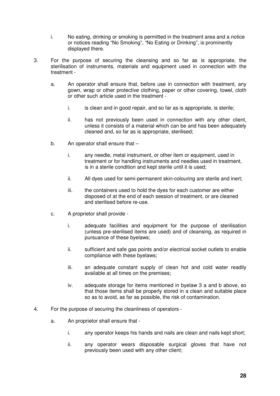- i. No eating, drinking or smoking is permitted in the treatment area and a notice or notices reading "No Smoking", "No Eating or Drinking", is prominently displayed there.
- 3. For the purpose of securing the cleansing and so far as is appropriate, the sterilisation of instruments, materials and equipment used in connection with the treatment
	- a. An operator shall ensure that, before use in connection with treatment, any gown, wrap or other protective clothing, paper or other covering, towel, cloth or other such article used in the treatment
		- i. is clean and in good repair, and so far as is appropriate, is sterile;
		- ii. has not previously been used in connection with any other client, unless it consists of a material which can be and has been adequately cleaned and, so far as is appropriate, sterilised;
	- b. An operator shall ensure that
		- i. any needle, metal instrument, or other item or equipment, used in treatment or for handling instruments and needles used in treatment, is in a sterile condition and kept sterile until it is used;
		- ii. All dyes used for semi-permanent skin-colouring are sterile and inert;
		- iii. the containers used to hold the dyes for each customer are either disposed of at the end of each session of treatment, or are cleaned and sterilised before re-use.
	- c. A proprietor shall provide
		- i. adequate facilities and equipment for the purpose of sterilisation (unless pre-sterilised items are used) and of cleansing, as required in pursuance of these byelaws;
		- ii. sufficient and safe gas points and/or electrical socket outlets to enable compliance with these byelaws;
		- iii. an adequate constant supply of clean hot and cold water readily available at all times on the premises;
		- iv. adequate storage for items mentioned in byelaw 3 a and b above, so that those items shall be properly stored in a clean and suitable place so as to avoid, as far as possible, the risk of contamination.
- 4. For the purpose of securing the cleanliness of operators
	- a. An proprietor shall ensure that
		- i. any operator keeps his hands and nails are clean and nails kept short;
		- ii. any operator wears disposable surgical gloves that have not previously been used with any other client;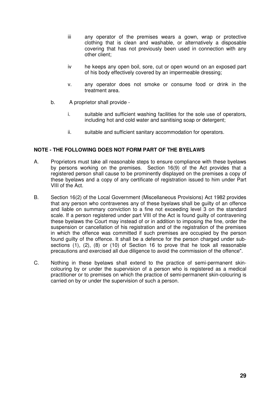- iii any operator of the premises wears a gown, wrap or protective clothing that is clean and washable, or alternatively a disposable covering that has not previously been used in connection with any other client;
- iv he keeps any open boil, sore, cut or open wound on an exposed part of his body effectively covered by an impermeable dressing;
- v. any operator does not smoke or consume food or drink in the treatment area.
- b. A proprietor shall provide
	- i. suitable and sufficient washing facilities for the sole use of operators, including hot and cold water and sanitising soap or detergent;
	- ii. suitable and sufficient sanitary accommodation for operators.

#### **NOTE - THE FOLLOWING DOES NOT FORM PART OF THE BYELAWS**

- A. Proprietors must take all reasonable steps to ensure compliance with these byelaws by persons working on the premises. Section 16(9) of the Act provides that a registered person shall cause to be prominently displayed on the premises a copy of these byelaws and a copy of any certificate of registration issued to him under Part VIII of the Act.
- B. Section 16(2) of the Local Government (Miscellaneous Provisions) Act 1982 provides that any person who contravenes any of these byelaws shall be guilty of an offence and liable on summary conviction to a fine not exceeding level 3 on the standard scale. If a person registered under part VIII of the Act is found guilty of contravening these byelaws the Court may instead of or in addition to imposing the fine, order the suspension or cancellation of his registration and of the registration of the premises in which the offence was committed if such premises are occupied by the person found guilty of the offence. It shall be a defence for the person charged under subsections (1), (2), (8) or (10) of Section 16 to prove that he took all reasonable precautions and exercised all due diligence to avoid the commission of the offence".
- C. Nothing in these byelaws shall extend to the practice of semi-permanent skincolouring by or under the supervision of a person who is registered as a medical practitioner or to premises on which the practice of semi-permanent skin-colouring is carried on by or under the supervision of such a person.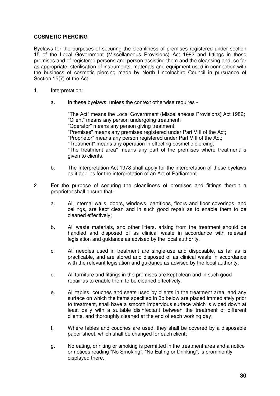#### **COSMETIC PIERCING**

Byelaws for the purposes of securing the cleanliness of premises registered under section 15 of the Local Government (Miscellaneous Provisions) Act 1982 and fittings in those premises and of registered persons and person assisting them and the cleansing and, so far as appropriate, sterilisation of instruments, materials and equipment used in connection with the business of cosmetic piercing made by North Lincolnshire Council in pursuance of Section 15(7) of the Act.

- 1. Interpretation:
	- a. In these byelaws, unless the context otherwise requires -

"The Act" means the Local Government (Miscellaneous Provisions) Act 1982; "Client" means any person undergoing treatment; "Operator" means any person giving treatment; "Premises" means any premises registered under Part VIII of the Act; "Proprietor" means any person registered under Part VIII of the Act; "Treatment" means any operation in effecting cosmetic piercing; "The treatment area" means any part of the premises where treatment is given to clients.

- b. The Interpretation Act 1978 shall apply for the interpretation of these byelaws as it applies for the interpretation of an Act of Parliament.
- 2. For the purpose of securing the cleanliness of premises and fittings therein a proprietor shall ensure that
	- a. All internal walls, doors, windows, partitions, floors and floor coverings, and ceilings, are kept clean and in such good repair as to enable them to be cleaned effectively;
	- b. All waste materials, and other litters, arising from the treatment should be handled and disposed of as clinical waste in accordance with relevant legislation and guidance as advised by the local authority.
	- c. All needles used in treatment are single-use and disposable, as far as is practicable, and are stored and disposed of as clinical waste in accordance with the relevant legislation and guidance as advised by the local authority.
	- d. All furniture and fittings in the premises are kept clean and in such good repair as to enable them to be cleaned effectively.
	- e. All tables, couches and seats used by clients in the treatment area, and any surface on which the items specified in 3b below are placed immediately prior to treatment, shall have a smooth impervious surface which is wiped down at least daily with a suitable disinfectant between the treatment of different clients, and thoroughly cleaned at the end of each working day;
	- f. Where tables and couches are used, they shall be covered by a disposable paper sheet, which shall be changed for each client;
	- g. No eating, drinking or smoking is permitted in the treatment area and a notice or notices reading "No Smoking", "No Eating or Drinking", is prominently displayed there.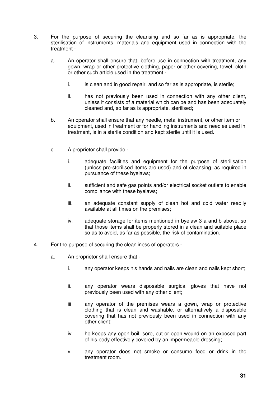- 3. For the purpose of securing the cleansing and so far as is appropriate, the sterilisation of instruments, materials and equipment used in connection with the treatment
	- a. An operator shall ensure that, before use in connection with treatment, any gown, wrap or other protective clothing, paper or other covering, towel, cloth or other such article used in the treatment
		- i. is clean and in good repair, and so far as is appropriate, is sterile;
		- ii. has not previously been used in connection with any other client, unless it consists of a material which can be and has been adequately cleaned and, so far as is appropriate, sterilised;
	- b. An operator shall ensure that any needle, metal instrument, or other item or equipment, used in treatment or for handling instruments and needles used in treatment, is in a sterile condition and kept sterile until it is used.
	- c. A proprietor shall provide
		- i. adequate facilities and equipment for the purpose of sterilisation (unless pre-sterilised items are used) and of cleansing, as required in pursuance of these byelaws;
		- ii. sufficient and safe gas points and/or electrical socket outlets to enable compliance with these byelaws;
		- iii. an adequate constant supply of clean hot and cold water readily available at all times on the premises;
		- iv. adequate storage for items mentioned in byelaw 3 a and b above, so that those items shall be properly stored in a clean and suitable place so as to avoid, as far as possible, the risk of contamination.
- 4. For the purpose of securing the cleanliness of operators
	- a. An proprietor shall ensure that
		- i. any operator keeps his hands and nails are clean and nails kept short;
		- ii. any operator wears disposable surgical gloves that have not previously been used with any other client;
		- iii any operator of the premises wears a gown, wrap or protective clothing that is clean and washable, or alternatively a disposable covering that has not previously been used in connection with any other client;
		- iv he keeps any open boil, sore, cut or open wound on an exposed part of his body effectively covered by an impermeable dressing;
		- v. any operator does not smoke or consume food or drink in the treatment room.